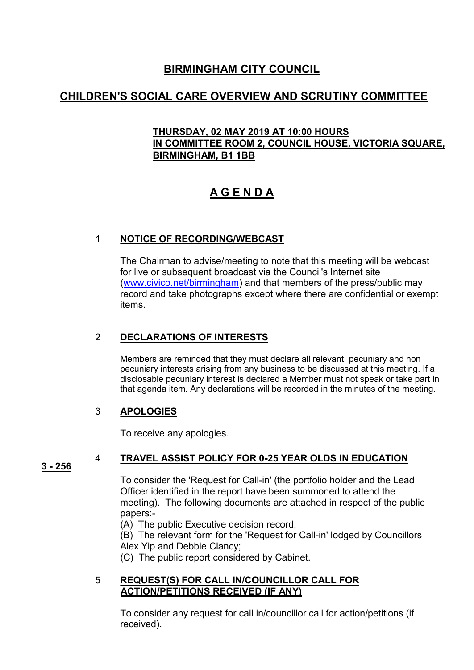### **BIRMINGHAM CITY COUNCIL**

## **CHILDREN'S SOCIAL CARE OVERVIEW AND SCRUTINY COMMITTEE**

#### **THURSDAY, 02 MAY 2019 AT 10:00 HOURS IN COMMITTEE ROOM 2, COUNCIL HOUSE, VICTORIA SQUARE, BIRMINGHAM, B1 1BB**

# **A G E N D A**

#### 1 **NOTICE OF RECORDING/WEBCAST**

The Chairman to advise/meeting to note that this meeting will be webcast for live or subsequent broadcast via the Council's Internet site [\(www.civico.net/birmingham\)](http://www.civico.net/birmingham) and that members of the press/public may record and take photographs except where there are confidential or exempt items.

#### 2 **DECLARATIONS OF INTERESTS**

Members are reminded that they must declare all relevant pecuniary and non pecuniary interests arising from any business to be discussed at this meeting. If a disclosable pecuniary interest is declared a Member must not speak or take part in that agenda item. Any declarations will be recorded in the minutes of the meeting.

#### 3 **APOLOGIES**

To receive any apologies.

#### 4 **TRAVEL ASSIST POLICY FOR 0-25 YEAR OLDS IN EDUCATION**

**3 - 256** 

To consider the 'Request for Call-in' (the portfolio holder and the Lead Officer identified in the report have been summoned to attend the meeting). The following documents are attached in respect of the public papers:-

(A) The public Executive decision record;

(B) The relevant form for the 'Request for Call-in' lodged by Councillors Alex Yip and Debbie Clancy;

(C) The public report considered by Cabinet.

#### 5 **REQUEST(S) FOR CALL IN/COUNCILLOR CALL FOR ACTION/PETITIONS RECEIVED (IF ANY)**

To consider any request for call in/councillor call for action/petitions (if received).